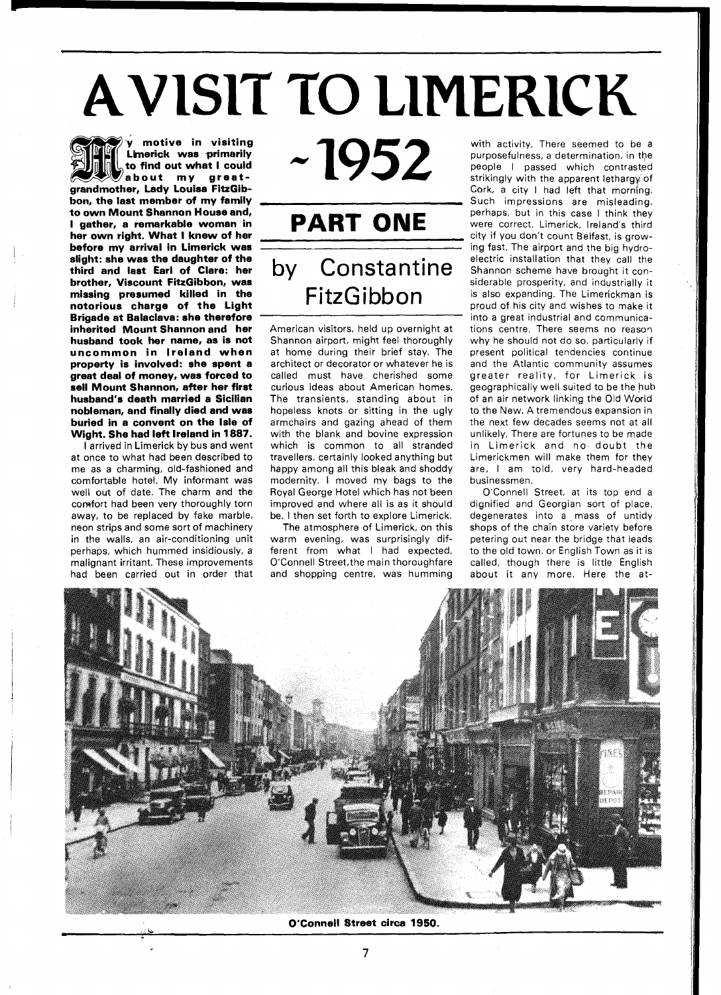# **AVISIT TO LIMERICK**<br> **AVISIT TO LIMERICK**<br> **SEE V. Motive in visiting 20052** With activity. There seemed to be<br>
purposefulness, a determination, in

**to find out what I could about my greatgrandmother, Lady Louisa FitzGibbon, the last member of my family to own Mount Shannon House and, I gather, a remarkable woman in her own right. What I knew of her before my arrival in Limerick was slight: she was the daughter of the third and last Earl of Clare: her brother, Viscount FitzGibbon, was missing presumed killed in the notorious charge of the Light Brigade at Balaclava: she therefore inherited Mount Shannon and her husband took her name, as is not uncommon in Ireland when property is involved: she spent a great deal of money, was forced to sell Mount Shannon, after her first husband's death married a Sicilian nobleman, and finally died and was buried in a convent on the Isle of Wight. She had left Ireland in 1887.** 

I arrived in Limerick by bus and went at once to what had been described to me as a charming, old-fashioned and comfortable hotel. My informant was well out of date. The charm and the comfort had been very thoroughly torn away, to be replaced by fake marble, neon strips and some sort of machinery in the walls, an air-conditioning unit perhaps, which hummed insidiously, a malignant irritant. These improvements had been carried out in order that

# $~1952$

## **PART ONE**  by Constantine FitzGibbon

American visitors, held up overnight at Shannon airport, might feel thoroughly at home during their brief stay. The architect or decorator or whatever he is called must have cherished some curious ideas about American homes. The transients, standing about in hopeless knots or sitting in the ugly armchairs and gazing ahead of them with the blank and bovine expression which is common to all stranded travellers, certainly looked anything but happy among all this bleak and shoddy modernity. I moved my bags to the Royal George Hotel which has not been improved and where all is as it should be. I then set forth to explore Limerick.

The atmosphere of Limerick, on this warm evening, was surprisingly different from what I had expected. O'Connell Street,the main thoroughfare and shopping centre, was humming

with activity. There seemed to be a purposefulness, a determination, in the people I passed which contrasted strikingly with the apparent lethargy of Cork, a city I had left that morning. Such impressions are misleading, perhaps, but in this case I think they were correct. Limerick, Ireland's third city if you don't count Belfast, is growing fast. The airport and the big hydroelectric installation that they call the Shannon scheme have brought it considerable prosperity, and industrially it is also expanding. The Limerickman is proud of his city and wishes to make it into a great industrial and communications centre. There seems no reason why he should not do so, particularly if present political tendencies continue and the Atlantic community assumes greater reality, for Limerick is geographically well suited to be the huh of an air network linking the Old World to the New. A tremendous expansion in the next few decades seems not at all unlikely. There are fortunes to be made in Limerick and no doubt the Limerickmen will make them for they are, I am told, very hard-headed businessmen.

O'Connell Street, at its top end a dignified and Georgian sort of place, degenerates into a mass of untidy shops of the chain store variety before petering out near the bridge that leads to the old town, or English Town as it is called, though there is little English about it any more. Here the



**O'Connell Street circa 1950.**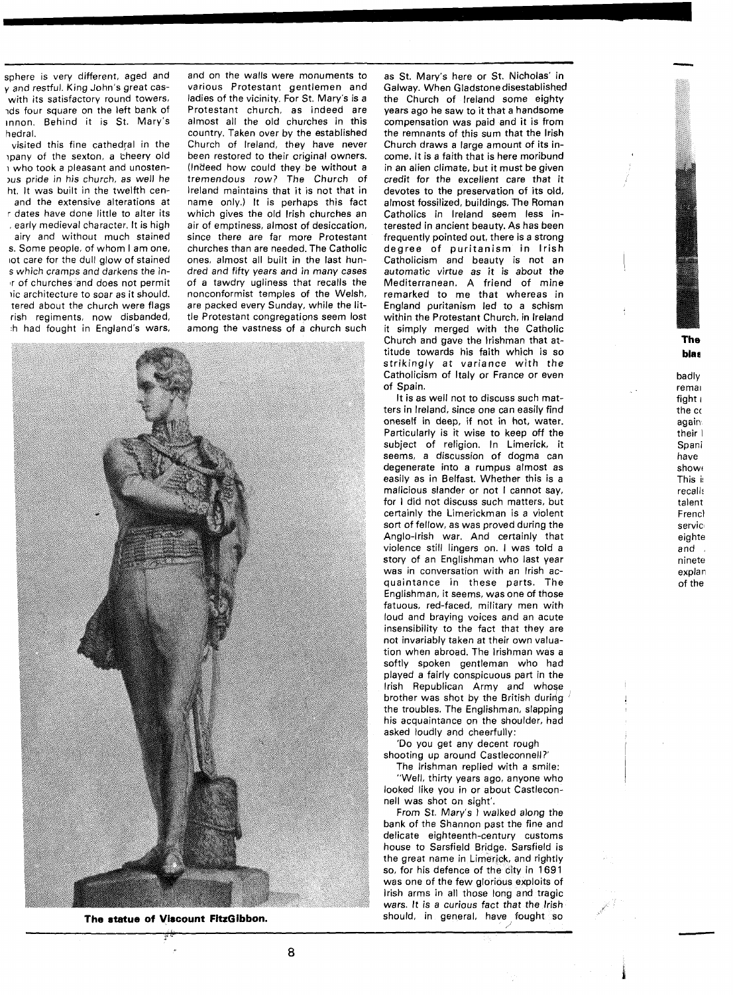sphere is very different, aged and **y** and restful. King John's great caswith its satisfactory round towers, ids four square on the left bank of Innon. Behind it is St. Mary's hedral.

visited this fine cathedral in the hpany of the sexton, a cheery old 1 who took a pleasant and unosten- ,us pride in his church, as well he ht. It was built in the twelfth cenand the extensive alterations at r dates have done little to alter its , early medieval character. It is high airy and without much stained s. Some people, of whom I am one, lot care for the dull glow of stained s which cramps and darkens the in-Ir of churches and does not permit 1ic architecture to soar as it should. tered about the church were flags rish regiments, now disbanded,

h had fought in England's wars,

and on the walls were monuments to various Protestant gentlemen and ladies of the vicinity. For St. Mary's is a Protestant church, as indeed are almost all the old churches in this country. Taken over by the established Church of Ireland, they have never been restored to their original owners. (Indeed how could they be without a tremendous row? The Church of lreland maintains that it is not that in name only.) It is perhaps this fact which gives the old lrish churches an air of emptiness, almost of desiccation. since there are far more Protestant churches than are needed. The Catholic ones, almost all built in the last hundred and fifty years and in many cases of a tawdry ugliness that recalls the nonconformist temples of the Welsh, are packed every Sunday, while the little Protestant congregations seem lost among the vastness of a church such



**The statue of Viscount FitzGibbon.** 

as St. Mary's here or St. Nicholas' in Galway. When Gladstonedisestablished the Church of lreland some eighty years ago he saw to it that a handsome compensation was paid and it is from the remnants of this sum that the lrish Church draws a large amount of its income. It is a faith that is here moribund in an alien climate, but it must be given credit for the excellent care that it devotes to the preservation of its old, almost fossilized, buildings. The Roman Catholics in lreland seem less interested in ancient beauty. As has been frequently pointed out, there is a strong degree of puritanism in lrish Catholicism and beauty is not an automatic virtue as it is about the Mediterranean. A friend of mine remarked to me that whereas in England puritanism led to a schism within the Protestant Church, in lreland it simply merged with the Catholic Church and gave the lrishman that attitude towards his faith which is so strikingly at variance with the Catholicism of Italy or France or even of Spain.

It is as well not to discuss such matters in Ireland, since one can easily find oneself in deep, if not in hot, water. Particularly is it wise to keep off the subject of religion. In Limerick, it seems, a discussion of dogma can degenerate into a rumpus almost as easily as in Belfast. Whether this is a malicious slander or not I cannot say, for I did not discuss such matters, but certainly the Limerickman is a violent sort of fellow, as was proved during the Anglo-Irish war. And certainly that violence still lingers on. I was told a story of an Englishman who last year was in conversation with an lrish acquaintance in these parts. The Englishman, it seems, was one of those fatuous, red-faced, military men with loud and braying voices and an acute insensibility to the fact that they are not invariably taken at their own valuation when abroad. The lrishman was a softly spoken gentleman who had played a fairly conspicuous part in the lrish Republican Army and whoge brother was shot by the British during the troubles. The Englishman, slapping his acquaintance on the shoulder, had asked loudly and cheerfully:

'Do you get any decent rough shooting up around Castleconnell?'

The lrishman replied with a smile: "Well, thirty years ago, anyone who looked like you in or about Castlecon-

nell was shot on sight'. From St. Mary's I walked along the bank of the Shannon past the fine and delicate eighteenth-century customs house to Sarsfield Bridge. Sarsfield is the great name in Limerick, and rightly so, for his defence of the city in 1691 was one of the few glorious exploits of lrish arms in all those long and tragic wars. It is a curious fact that the lrish should, in general, have fought so

#### **The blaa**

badly remal fight i the cc again their I Spani have showe This i! recall: talent Frencl servic eighte and ninete explan of the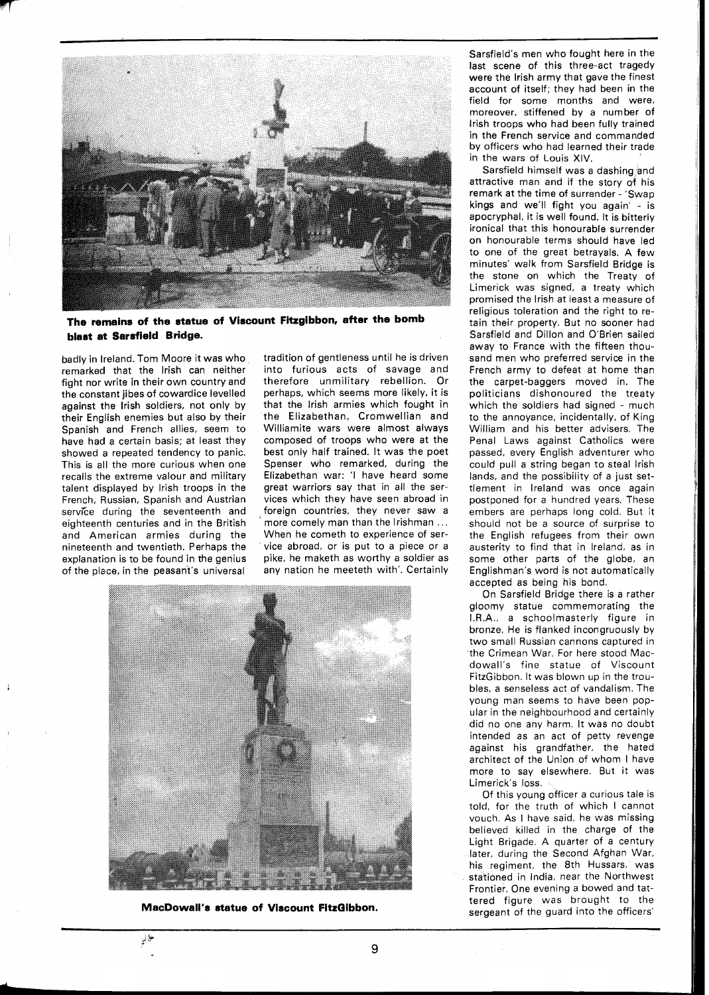

**The remains of the statue of Viscount Fitzgibbon, after the bomb blast at Sarsfield Bridge.** 

badly in Ireland. Tom Moore it was who remarked that the lrish can neither fight nor write in their own country and the constant jibes of cowardice levelled against the lrish soldiers, not only by their English enemies but also by their Spanish and French allies, seem to have had a certain basis; at least they showed a repeated tendency to panic. This is all the more curious when one recalls the extreme valour and military talent displayed by lrish troops in the French, Russian, Spanish and Austrian service during the seventeenth and eighteenth centuries and in the British and American armies during the nineteenth and twentieth. Perhaps the explanation is to be found in the genius of the place, in the peasant's universal

tradition of gentleness until he is driven into furious acts of savage and therefore unmilitary rebellion. Or perhaps, which seems more likely, it is that the lrish armies which fought in the Elizabethan, Cromwellian and Williamite wars were almost always composed of troops who were at the best only half trained. It was the poet Spenser who remarked, during the Elizabethan war: 'l have heard some great warriors say that in all the services which they have seen abroad in foreign countries, they never saw a more comely man than the Irishman ... When he cometh to experience of service abroad, or is put to a piece or a pike, he maketh as worthy a soldier as any nation he meeteth with'. Certainly



**MacDowall's statue of Viscount FitzQibbon.** 

Sarsfield's men who fought here in the last scene of this three-act tragedy were the lrish army that gave the finest account of itself; they had been in the field for some months and were, moreover, stiffened by a number of lrish troops who had been fully trained in the French service and commanded by officers who had learned their trade in the wars of Louis XIV.

Sarsfield himself was a dashing and attractive man and if the story **qf** his remark at the time of surrender - 'Swap kings and we'll fight you again' - is apocryphal, it is well found. It is bitterly ironical that this honourable surrender on honourable terms should have led to one of the great betrayals. A few minutes' walk from Sarsfield Bridge is the stone on which the Treaty of Limerick was signed, a treaty which promised the lrish at least a measure of religious toleration and the right to retain their property. But no sooner had Sarsfield and Dillon and O'Brien sailed away to France with the fifteen thousand men who preferred service in the French army to defeat at home than the carpet-baggers moved in. The politicians dishonoured the treaty which the soldiers had signed - much to the annoyance, incidentally, of King William and his better advisers. The Penal Laws against Catholics were passed, every English adventurer who could pull a string began to steal lrish lands, and the possibility of a just settlement in Ireland was once again postponed for a hundred years. These embers are perhaps long cold. But it should not be a source of surprise to the English refugees from their own austerity to find that in Ireland, as in some other parts of the globe, an Englishman's word is not automatically accepted as being his bond.

On Sarsfield Bridge there is a rather gloomy statue commemorating the I.R.A., a schoolmasterly figure in bronze. He is flanked incongruously by two small Russian cannons captured in the Crimean War. For here stood Macdowall's fine statue of Viscount FitzGibbon. It was blown up in the troubles, a senseless act of vandalism. The young man seems to have been popular in the neighbourhood and certainly did no one any harm. It was no doubt intended as an act of petty revenge against his grandfather, the hated architect of the Union of whom I have more to say elsewhere. But it was Limerick's loss.

Of this young officer a curious tale is told, for the truth of which I cannot vouch. As I have said, he was missing believed killed in the charge of the Light Brigade. A quarter of a century later, during the Second Afghan War, his regiment, the 8th Hussars, was stationed in India, near the Northwest Frontier. One evening a bowed and tattered figure was brought to the sergeant of the guard into the officers'

فلألمئ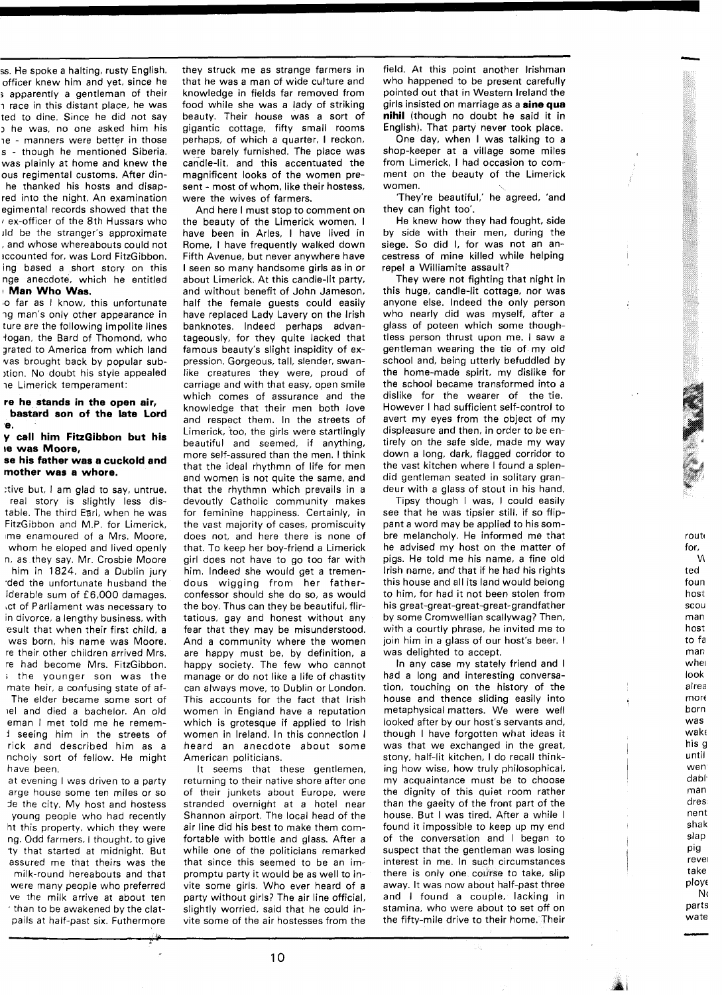ss. He spoke a halting, rusty English. officer knew him and yet, since he **j** apparently a gentleman of their i race in this distant place, he was ted to dine. Since he did not say **3** he was, no one asked him his ie - manners were better in those s - though he mentioned Siberia. was plainly at home and knew the ous regimental customs. After dinhe thanked his hosts and disapred into the night. An examination egimental records showed that the **<sup>I</sup>**ex-officer of the 8th Hussars who ~ld be the stranger's approximate , and whose whereabouts could not ~ccounted for, was Lord FitzGibbon. ing based a short story on this nge anecdote, which he entitled <sup>I</sup>**Man Who Was.** 

o far as I know, this unfortunate ng man's only other appearance in ture are the following impolite lines logan, the Bard of Thomond, who jrated to America from which land vas brought back by popular sub- )tion. No doubt his style appealed ie Limerick temperament:

#### **re he stands in the open air, bastard son of the late Lord e.**

#### **y call him FitzGibbon but his be was Moore,**

#### **se his father was a cuckold and mother was a whore.**

:tive but, I am glad to say, untrue. real story is slightly less distable. The third Earl, when he was FitzGibbon and M.P. for Limerick, me enamoured of a Mrs. Moore, whom he eloped and lived openly n, as they say. Mr. Crosbie Moore him in 1824, and a Dublin jury .ded the unfortunate husband the iderable sum of £6,000 damages. ~ct of Parliament was necessary to in divorce, a lengthy business, with esult that when their first child, a was born, his name was Moore. re their other children arrived Mrs. re had become Mrs. FitzGibbon. ; the younger son was the mate heir, a confusing state of af-The elder became some sort of lel and died a bachelor. An old eman I met told me he remem-**1** seeing him in the streets of rick and described him as a ncholy sort of fellow. He might have been.

at evening I was driven to a party arge house some ten miles or so Je the city. My host and hostess young people who had recently ht this property, which they were ng. Odd farmers, I thought, to give ty that started at midnight. But assured me that theirs was the milk-round hereabouts and that were many people who preferred ve the milk arrive at about ten . than to be awakened by the clatpails at half-past six. Futhermore

they struck me as strange farmers in that he was a man of wide culture and knowledge in fields far removed from food while she was a lady of striking beauty. Their house was a sort of gigantic cottage, fifty small rooms perhaps, of which a quarter, I reckon, were barely furnished. The place was candle-lit, and this accentuated the magnificent looks of the women present - most of whom, like their hostess, were the wives of farmers.

And here I must stop to comment on the beauty of the Limerick women. I have been in Arles, I have lived in Rome, I have frequently walked down Fifth Avenue, but never anywhere have I seen so many handsome girls as in or about Limerick. At this candle-lit party, and without benefit of John Jameson, half the female guests could easily have replaced Lady Lavery on the lrish banknotes, lndeed perhaps advantageously, for they quite lacked that famous beauty's slight inspidity of expression. Gorgeous, tall, slender, swanlike creatures they were, proud of carriage and with that easy, open smile which comes of assurance and the knowledge that their men both love and respect them. In the streets of Limerick, too, the girls were startlingly beautiful and seemed, if anything, more self-assured than the men. I think that the ideal rhythmn of life for men and women is not quite the same, and that the rhythmn which prevails in a devoutly Catholic community makes for feminine happiness. Certainly, in the vast majority of cases, promiscuity does not, and here there is none of that. To keep her boy-friend a Limerick girl does not have to go too far with him, lndeed she would get a tremendous wigging from her fatherconfessor should she do so, as would the boy. Thus can they be beautiful, flirtatious, gay and honest without any fear that they may be misunderstood. And a community where the women are happy must be, by definition, a happy society. The few who cannot manage or do not like a life of chastity can always move, to Dublin or London. This accounts for the fact that lrish women in England have a reputation which is grotesque if applied to lrish women in Ireland. In this connection I heard an anecdote about some American politicians.

It seems that these gentlemen, returning to their native shore after one of their junkets about Europe, were stranded overnight at a hotel near Shannon airport. The local head of the air line did his best to make them comfortable with bottle and glass. After a while one of the politicians remarked that since this seemed to be an impromptu party it would be as well to invite some girls. Who ever heard of a party without girls? The air line official, slightly worried, said that he could invite some of the air hostesses from the field. At this point another Irishman who happened to be present carefully pointed out that in Western Ireland the girls insisted on marriage as a **sine qua nihil** (though no doubt he said it in English). That party never took place.

One day, when I was talking to a shop-keeper at a village some miles from Limerick, I had occasion to comment on the beauty of the Limerick women.

'They're beautiful,' he agreed. 'and they can fight too'.

He knew how they had fought, side by side with their men, during the siege. So did I, for was not an ancestress of mine killed while helping repel a Williamite assault?

They were not fighting that night in this huge, candle-lit cottage, nor was anyone else. lndeed the only person who nearly did was myself, after a glass of poteen which some thoughtless person thrust upon me. I saw a gentleman wearing the tie of my old school and, being utterly befuddled by the home-made spirit, my dislike for the school became transformed into a dislike for the wearer of the tie. However I had sufficient self-control to avert my eyes from the object of my displeasure and then, in order to be entirely on the safe side, made my way down a long, dark, flagged corridor to the vast kitchen where I found a splendid gentleman seated in solitary grandeur with a glass of stout in his hand.

Tipsy though I was, I could easily see that he was tipsier still, if so flippant a word may be applied to his sombre melancholy. He informed me that he advised my host on the matter of pigs. He told me his name, a fine old lrish name, and that if he had his rights this house and all its land would belong to him, for had it not been stolen from his great-great-great-great-grandfather by some Cromwellian scallywag? Then, with a courtly phrase, he invited me to join him in a glass of our host's beer. I was delighted to accept.

route for, M ted foun host SCOU man host to fa mar; wher look alrea  $more$ born was wake his g until wen dabl, man dres nent shak slap pig revel take ploye **N <sup>c</sup>** parts wate

In any case my stately friend and I had a long and interesting conversation, touching on the history of the house and thence sliding easily into metaphysical matters. We were well looked after by our host's servants and, though I have forgotten what ideas it was that we exchanged in the great, stony, half-lit kitchen, I do recall thinking how wise, how truly philosophical, my acquaintance must be to choose the dignity of this quiet room rather than the gaeity of the front part of the house. But I was tired. After a while I found it impossible to keep up my end of the conversation and I began to suspect that the gentleman was losing interest in me. In such circumstances there is only one course to take, slip away. It was now about half-past three and I found a couple. lacking in stamina, who were about to set off on the fifty-mile drive to their home. Their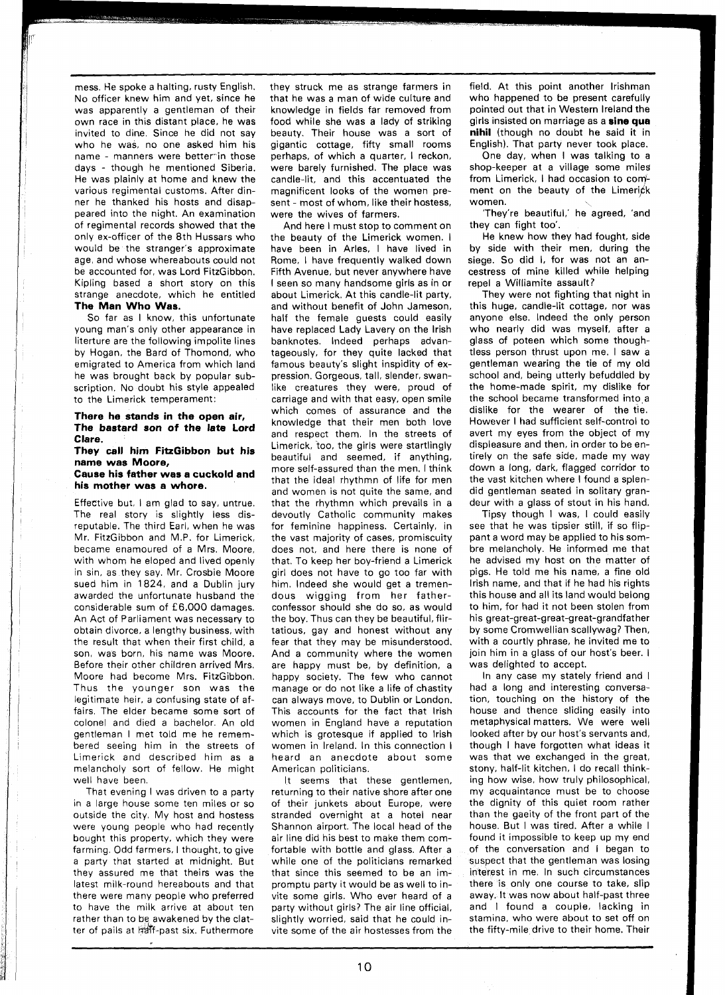mess. He spoke a halting, rusty English. No officer knew him and yet, since he was apparently a gentleman of their own race in this distant place, he was invited to dine. Since he did not say who he was, no one asked him his name - manners were better in those days - though he mentioned Siberia. He was plainly at home and knew the various regimental customs. After dinner he thanked his hosts and disappeared into the night. An examination of regimental records showed that the only ex-officer of the 8th Hussars who would be the stranger's approximate age, and whose whereabouts could not be accounted for, was Lord FitzGibbon. Kipling based a short story on this strange anecdote, which he entitled **The Man Who Was.** 

So far as I know, this unfortunate young man's only other appearance in literture are the following impolite lines by Hogan, the Bard of Thomond, who emigrated to America from which land he was brought back by popular subscription. No doubt his style appealed to the Limerick temperament:

#### **There he stands in the open air, The bastard son of the late Lord Clare.**

**They call him FitzGibbon but his name was Moore, Cause his father was a cuckold and** 

### **his mother was a whore.**

Effective but, I am glad to say, untrue. The real story is slightly less disreputable. The third Earl, when he was Mr. FitzGibbon and M.P. for Limerick, became enamoured of a Mrs. Moore, with whom he eloped and lived openly in sin, as they say. Mr. Crosbie Moore sued him in 1824, and a Dublin jury awarded the unfortunate husband the considerable sum of £6,000 damages. An Act of Parliament was necessary to obtain divorce, a lengthy business, with the result that when their first child, a son, was born, his name was Moore. Before their other children arrived Mrs. Moore had become Mrs. FitzGibbon. Thus the younger son was the legitimate heir, a confusing state of affairs. The elder became some sort of colonel and died a bachelor. An old gentleman I met told me he remembered seeing him in the streets of Limerick and described him as a melancholy sort of fellow. He might well have been

That evening I was driven to a party in a large house some ten miles or so outside the city. My host and hostess were young people who had recently bought this property, which they were farming. Odd farmers, I thought, to give a party that started at midnight. But they assured me that theirs was the latest milk-round hereabouts and that there were many people who preferred to have the milk arrive at about ten rather than to be awakened by the clatter of pails at half-past six. Futhermore

they struck me as strange farmers in that he was a man of wide culture and knowledge in fields far removed from food while she was a lady of striking beauty. Their house was a sort of gigantic cottage, fifty small rooms perhaps, of which a quarter, I reckon. were barely furnished. The place was candle-lit, and this accentuated the magnificent looks of the women present - most of whom, like their hostess, were the wives of farmers.

And here I must stop to comment on the beauty of the Limerick women. I have been in Arles, I have lived in Rome, I have frequently walked down Fifth Avenue, but never anywhere have I seen so many handsome girls as in or about Limerick. At this candle-lit party, and without benefit of John Jameson, half the female guests could easily have replaced Lady Lavery on the lrish banknotes, lndeed perhaps advantageously, for they quite lacked that famous beauty's slight inspidity of expression. Gorgeous, tall, slender, swanlike creatures they were, proud of carriage and with that easy, open smile which comes of assurance and the knowledge that their men both love and respect them. In the streets of Limerick, too, the girls were startlingly beautiful and seemed, if anything, more self-assured than the men. I think that the ideal rhythmn of life for men and women is not quite the same, and that the rhythmn which prevails in a devoutly Catholic community makes for feminine happiness. Certainly, in the vast majority of cases, promiscuity does not, and here there is none of that. To keep her boy-friend a Limerick girl does not have to go too far with him, lndeed she would get a tremendous wigging from her fatherconfessor should she do so, as would the boy. Thus can they be beautiful, flirtatious, gay and honest without any fear that they may be misunderstood. And a community where the women are happy must be, by definition, a happy society. The few who cannot manage or do not like a life of chastity can always move, to Dublin or London. This accounts for the fact that lrish women in England have a reputation which is grotesque if applied to lrish women in Ireland. In this connection I heard an anecdote about some American politicians.

It seems that these gentlemen, returning to their native shore after one of their junkets about Europe, were stranded overnight at a hotel near Shannon airport. The local head of the air line did his best to make them comfortable with bottle and glass. After a while one of the politicians remarked that since this seemed to be an impromptu party it would be as well to invite some girls. Who ever heard of a party without girls? The air line official, slightly worried, said that he could invite some of the air hostesses from the

field. At this point another Irishman who happened to be present carefully pointed out that in Western Ireland the girls insisted on marriage as a **sine qua nihil** (though no doubt he said it in English). That party never took place.

One day, when I was talking to a shop-keeper at a village some miles from Limerick, I had occasion to comment on the beauty of the Limerick women.

'They're beautiful,' he agreed, 'and they can fight too'.

He knew how they had fought, side by side with their men, during the siege. So did I, for was not an ancestress of mine killed while helping repel a Williamite assault?

They were not fighting that night in this huge, candle-lit cottage, nor was anyone else. lndeed the only person who nearly did was myself, after a glass of poteen which some thoughtless person thrust upon me. I saw a gentleman wearing the tie of my old school and, being utterly befuddled by the home-made spirit, my dislike for the school became transformed into a dislike for the wearer of the tie. However I had sufficient self-control to avert my eyes from the object of my displeasure and then, in order to be entirely on the safe side, made my way down a long, dark, flagged corridor to the vast kitchen where I found a splendid gentleman seated in solitary grandeur with a glass of stout in his hand.

Tipsy though I was, I could easily see that he was tipsier still, if so flippant a word may be applied to his sombre melancholy. He informed me that he advised my host on the matter of pigs. He told me his name, a fine old lrish name, and that if he had his rights this house and all its land would belong to him, for had it not been stolen from his great-great-great-great-grandfather by some Cromwellian scallywag? Then, with a courtly phrase, he invited me to join him in a glass of our host's beer. I was delighted to accept.

In any case my stately friend and I had a long and interesting conversation, touching on the history of the house and thence sliding easily into metaphysical matters. We were well looked after by our host's servants and, though I have forgotten what ideas it was that we exchanged in the great, stony, half-lit kitchen, I do recall thinking how wise, how truly philosophical, my acquaintance must be to choose the dignity of this quiet room rather than the gaeity of the front part of the house. But I was tired. After a while I found it impossible to keep up my end of the conversation and I began to suspect that the gentleman was losing interest in me. In such circumstances there is only one course to take, slip away. It was now about half-past three and I found a couple, lacking in stamina, who were about to set off on the fifty-mile drive to their home. Their